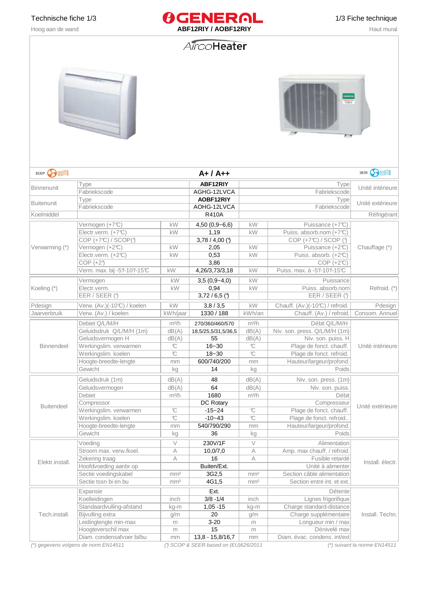

# AircoHeater





Diam. condensafvoer bi/bu | mm | 13,8 - 15,8/16,7 | mm | Diam. évac. condens. int/ext (\*) gegevens volgens de norm EN14511 (°) SCOP & SEER based on (EU)626/2011 (\*) suivant la norme EN14511

Tech.install. |Bijvulling extra | g/m | g/m | Charge supplémentaire| Install. Techn. Leidinglengte min-max  $\vert$  m  $\vert$  3-20 m Longueur min / max Hoogteverschil max and m in the matches of the max method of the max method of max in the max in the max in the max in the max in the max in the max in the max in the max in the max in the max in the max in the max in the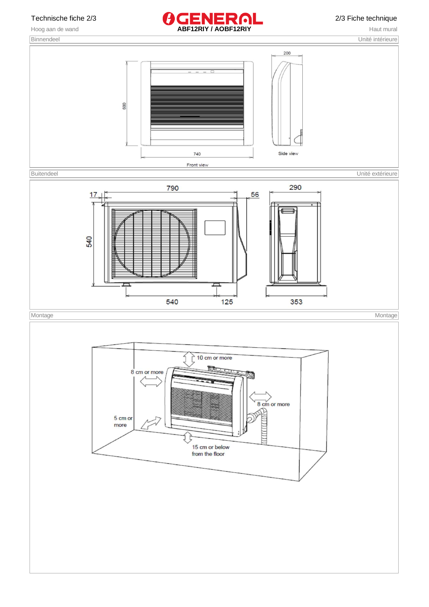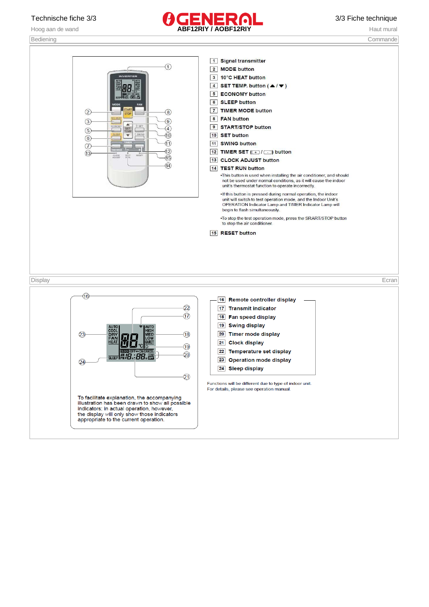

Bediening Commande

1 Signal transmitter  $\odot$ 2 MODE button 3 10°C HEAT button 4 SET TEMP. button  $($   $\blacktriangle / \blacktriangledown )$ 5 ECONOMY button 6 SLEEP button 7 TIMER MODE button  $(2)$  $\left( 8\right)$ 8 FAN button  $\circled{3}$  $\circled{9}$ 9 START/STOP button  $\sqrt{4}$  $(5)$  $\circledR$ 10 SET button  $\circledcirc$  $\textcircled{\scriptsize{1}}$ 11 SWING button  $\odot$ пİ  $\circled{12}$ 12 TIMER SET (+1 / - ) button  $\circled{1}$  $\overline{15}$ 13 CLOCK ADJUST button  $\circled{4}$ 14 TEST RUN button . This button is used when installing the air conditioner, and should not be used under normal conditions, as it will cause the indoor unit's thermostat function to operate incorrectly. . If this button is pressed during normal operation, the indoor unit will switch to test operation mode, and the Indoor Unit's<br>OPERATION Indicator Lamp and TIMER Indicator Lamp will begin to flash simultaneously. . To stop the test operation mode, press the SRART/STOP button to stop the air conditioner. 15 RESET button Display Ecran $\overline{\mathcal{A}}$ 16 Remote controller display  $\widehat{22}$ 17 Transmit indicator  $\overline{17}$ 18 Fan speed display 19 Swing display  $\sqrt{23}$  $\overline{18}$ 20 Timer mode display 21 Clock display 19 22 Temperature set display  $SEEP$   $MIB$ : 88  $\overline{20}$ 23 Operation mode display  $(24)$ 24 Sleep display  $\widehat{21}$ Functions will be different due to type of indoor unit. For details, please see operation manual. To facilitate explanation, the accompanying<br>illustration has been drawn to show all possible indicators; in actual operation, however, the display will only show those indicators appropriate to the current operation.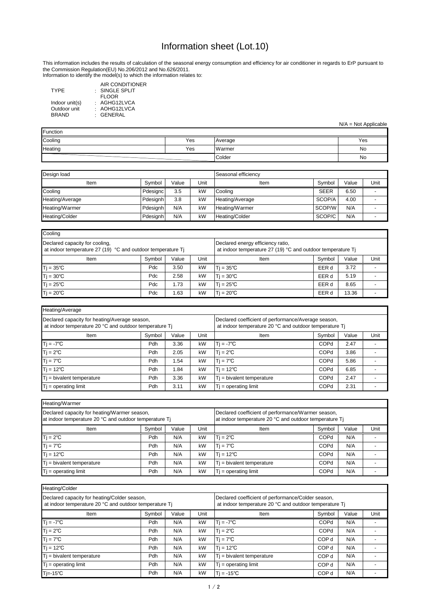# Information sheet (Lot.10)

N/A = Not Applicable

This information includes the results of calculation of the seasonal energy consumption and efficiency for air conditioner in regards to ErP pursuant to the Commission Regulation(EU) No.206/2012 and No.626/2011.

| Function |     |                |     |  |  |  |  |  |
|----------|-----|----------------|-----|--|--|--|--|--|
| Cooling  | Yes | <b>Average</b> | Yes |  |  |  |  |  |
| Heating  | Yes | Warmer         | No  |  |  |  |  |  |
|          |     | Colder         | No  |  |  |  |  |  |

| Cooling                                                                                                 |                                        |      |                                                                                                  |                   |        |       |      |  |  |
|---------------------------------------------------------------------------------------------------------|----------------------------------------|------|--------------------------------------------------------------------------------------------------|-------------------|--------|-------|------|--|--|
| Declared capacity for cooling,<br>at indoor temperature 27 (19) $^{\circ}$ C and outdoor temperature Tj |                                        |      | Declared energy efficiency ratio,<br>at indoor temperature 27 (19) °C and outdoor temperature Tj |                   |        |       |      |  |  |
| Item                                                                                                    | Unit<br>Value<br>Symbol<br><b>Item</b> |      |                                                                                                  |                   | Symbol | Value | Unit |  |  |
| $Tj = 35^{\circ}C$                                                                                      | Pdc                                    | 3.50 | kW                                                                                               | $T = 35^{\circ}C$ | EER d  | 3.72  |      |  |  |
| $Tj = 30^{\circ}C$                                                                                      | Pdc                                    | 2.58 | kW                                                                                               | $T = 30^{\circ}C$ | EER d  | 5.19  |      |  |  |
| $Tj = 25^{\circ}C$                                                                                      | Pdc                                    | 1.73 | kW                                                                                               | $T = 25^{\circ}C$ | EER d  | 8.65  |      |  |  |
| $T$ j = 20 $^{\circ}$ C<br>kW<br>Pdc<br>1.63                                                            |                                        |      |                                                                                                  | $T = 20^{\circ}C$ | EER d  | 13.36 |      |  |  |

| Design load     |          |       |      | Seasonal efficiency |             |       |      |
|-----------------|----------|-------|------|---------------------|-------------|-------|------|
| Item            | Symbol   | Value | Unit | Item                | Symbol      | Value | Unit |
| Cooling         | Pdesignc | 3.5   | kW   | <b>Cooling</b>      | <b>SEER</b> | 6.50  |      |
| Heating/Average | Pdesignh | 3.8   | kW   | Heating/Average     | SCOP/A      | 4.00  |      |
| Heating/Warmer  | Pdesignh | N/A   | kW   | Heating/Warmer      | SCOP/W      | N/A   |      |
| Heating/Colder  | Pdesignh | N/A   | kW   | Heating/Colder      | SCOP/C      | N/A   |      |

| Heating/Colder                                                                                         |                                                    |     |                                                                                                              |                              |                  |     |      |  |  |  |  |  |
|--------------------------------------------------------------------------------------------------------|----------------------------------------------------|-----|--------------------------------------------------------------------------------------------------------------|------------------------------|------------------|-----|------|--|--|--|--|--|
| Declared capacity for heating/Colder season,<br>at indoor temperature 20 °C and outdoor temperature Tj |                                                    |     | Declared coefficient of performance/Colder season,<br>at indoor temperature 20 °C and outdoor temperature Tj |                              |                  |     |      |  |  |  |  |  |
| Item                                                                                                   | Unit<br>Symbol<br>Value<br>Symbol<br>Value<br>Item |     |                                                                                                              |                              |                  |     | Unit |  |  |  |  |  |
| $Ti = -7^{\circ}C$                                                                                     | Pdh                                                | N/A | kW                                                                                                           | $Tj = -7^{\circ}C$           | COPd             | N/A |      |  |  |  |  |  |
| $Tj = 2^{\circ}C$                                                                                      | Pdh                                                | N/A | kW                                                                                                           | $T = 2^{\circ}C$             | <b>COPd</b>      | N/A |      |  |  |  |  |  |
| $Tj = 7^{\circ}C$                                                                                      | Pdh                                                | N/A | kW                                                                                                           | $Tj = 7^{\circ}C$            | COP d            | N/A |      |  |  |  |  |  |
| $Tj = 12^{\circ}C$                                                                                     | Pdh                                                | N/A | kW                                                                                                           | $T$ j = 12°C                 | COP <sub>d</sub> | N/A |      |  |  |  |  |  |
| $Ti = bivalent temperature$                                                                            | Pdh                                                | N/A | kW                                                                                                           | $T_i$ = bivalent temperature | COP d            | N/A |      |  |  |  |  |  |
| $Tj = operating limit$                                                                                 | Pdh                                                | N/A | kW                                                                                                           | $T$ = operating limit        | COP d            | N/A |      |  |  |  |  |  |
| 'Tj=-15℃                                                                                               | Pdh                                                | N/A | kW                                                                                                           | $T = -15^{\circ}C$           | COP d            | N/A |      |  |  |  |  |  |

| Heating/Warmer                                                                                         |        |       |                                                                                                              |                              |             |     |  |  |  |  |  |  |  |
|--------------------------------------------------------------------------------------------------------|--------|-------|--------------------------------------------------------------------------------------------------------------|------------------------------|-------------|-----|--|--|--|--|--|--|--|
| Declared capacity for heating/Warmer season,<br>at indoor temperature 20 °C and outdoor temperature Tj |        |       | Declared coefficient of performance/Warmer season,<br>at indoor temperature 20 °C and outdoor temperature Tj |                              |             |     |  |  |  |  |  |  |  |
| Item                                                                                                   | Symbol | Value | Unit                                                                                                         | Symbol<br>Value<br>Item      |             |     |  |  |  |  |  |  |  |
| $Tj = 2^{\circ}C$                                                                                      | Pdh    | N/A   | kW                                                                                                           | $T = 2^{\circ}C$             | <b>COPd</b> | N/A |  |  |  |  |  |  |  |
| $Tj = 7^{\circ}C$                                                                                      | Pdh    | N/A   | kW                                                                                                           | $Ti = 7^{\circ}C$            | <b>COPd</b> | N/A |  |  |  |  |  |  |  |
| $Tj = 12^{\circ}C$                                                                                     | Pdh    | N/A   | kW                                                                                                           | $T = 12^{\circ}C$            | <b>COPd</b> | N/A |  |  |  |  |  |  |  |
| $Tj$ = bivalent temperature                                                                            | Pdh    | N/A   | kW                                                                                                           | $T_i$ = bivalent temperature | <b>COPd</b> | N/A |  |  |  |  |  |  |  |
| $Tj = operating limit$<br>kW<br>N/A<br>Pdh                                                             |        |       |                                                                                                              | $Tj = operating limit$       | <b>COPd</b> | N/A |  |  |  |  |  |  |  |

| <b>TYPE</b>    | AIR CONDITIONER<br>$\cdot$ SINGLE SPLIT |
|----------------|-----------------------------------------|
|                | <b>FLOOR</b>                            |
| Indoor unit(s) | : AGHG12LVCA                            |
| Outdoor unit   | : AOHG12LVCA                            |
| <b>BRAND</b>   | · GENERAL                               |

| Heating/Average                                                                                         |                                           |      |                                                                                                               |                              |             |      |      |  |  |  |  |  |  |  |  |  |  |  |  |
|---------------------------------------------------------------------------------------------------------|-------------------------------------------|------|---------------------------------------------------------------------------------------------------------------|------------------------------|-------------|------|------|--|--|--|--|--|--|--|--|--|--|--|--|
| Declared capacity for heating/Average season,<br>at indoor temperature 20 °C and outdoor temperature Tj |                                           |      | Declared coefficient of performance/Average season,<br>at indoor temperature 20 °C and outdoor temperature Tj |                              |             |      |      |  |  |  |  |  |  |  |  |  |  |  |  |
| Item                                                                                                    | Unit<br>Value<br>Symbol<br>Symbol<br>Item |      |                                                                                                               |                              |             |      | Unit |  |  |  |  |  |  |  |  |  |  |  |  |
| $Tj = -7^{\circ}C$                                                                                      | Pdh                                       | 3.36 | kW                                                                                                            | $Tj = -7^{\circ}C$           | <b>COPd</b> | 2.47 |      |  |  |  |  |  |  |  |  |  |  |  |  |
| $Tj = 2^{\circ}C$                                                                                       | Pdh                                       | 2.05 | kW                                                                                                            | $Ti = 2^{\circ}C$            | <b>COPd</b> | 3.86 |      |  |  |  |  |  |  |  |  |  |  |  |  |
| $Tj = 7^{\circ}C$                                                                                       | Pdh                                       | .54  | kW                                                                                                            | $Tj = 7^{\circ}C$            | COPd        | 5.86 |      |  |  |  |  |  |  |  |  |  |  |  |  |
| $Tj = 12^{\circ}C$                                                                                      | Pdh                                       | 1.84 | kW                                                                                                            | $T$ i = 12°C                 | <b>COPd</b> | 6.85 |      |  |  |  |  |  |  |  |  |  |  |  |  |
| $Tj$ = bivalent temperature                                                                             | Pdh                                       | 3.36 | kW                                                                                                            | $T_i$ = bivalent temperature | <b>COPd</b> | 2.47 |      |  |  |  |  |  |  |  |  |  |  |  |  |
| $Tj = operating limit$                                                                                  | Pdh                                       | 3.11 | kW                                                                                                            | $T_i$ = operating limit      | <b>COPd</b> | 2.31 |      |  |  |  |  |  |  |  |  |  |  |  |  |

Information to identify the model(s) to which the information relates to: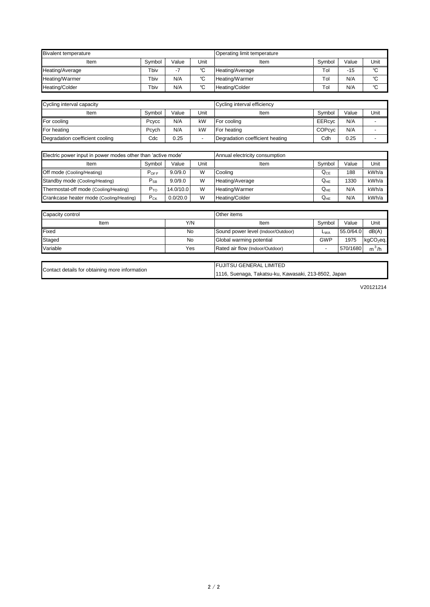|                                                | <b>FUJITSU GENERAL LIMITED</b>                       |
|------------------------------------------------|------------------------------------------------------|
| Contact details for obtaining more information | 1116, Suenaga, Takatsu-ku, Kawasaki, 213-8502, Japan |

| Capacity control | <b>Other</b> items |                                    |            |           |             |
|------------------|--------------------|------------------------------------|------------|-----------|-------------|
| ltem             | Y/N                | Item                               | Symbol     | Value     | Unit        |
| Fixed            | No                 | Sound power level (Indoor/Outdoor) | $L_{WA}$   | 55.0/64.0 | dB(A)       |
| Staged           | No                 | Global warming potential           | <b>GWP</b> | 1975      | $kgCO2$ eq. |
| Variable         | Yes                | Rated air flow (Indoor/Outdoor)    |            | 570/1680  | $m^3/h$     |

V20121214

| Cycling interval capacity       |        |       |      | Cycling interval efficiency     |               |       |      |  |
|---------------------------------|--------|-------|------|---------------------------------|---------------|-------|------|--|
| Item                            | Svmbol | Value | Unit | Item                            | Symbol        | Value | Unit |  |
| For cooling                     | Pcvcc  | N/A   | kW   | <b>For cooling</b>              | <b>EERcyc</b> | N/A   |      |  |
| For heating                     | Pcych  | N/A   | kW   | <b>For heating</b>              | <b>COPcyc</b> | N/A   |      |  |
| Degradation coefficient cooling | Cdc    | 0.25  |      | Degradation coefficient heating | Cdh           | 0.25  |      |  |

| Electric power input in power modes other than 'active mode' |                            |           |      | Annual electricity consumption |                            |       |       |  |
|--------------------------------------------------------------|----------------------------|-----------|------|--------------------------------|----------------------------|-------|-------|--|
| Item                                                         | Symbol                     | Value     | Unit | Item                           | Symbol                     | Value | Unit  |  |
| Off mode (Cooling/Heating)                                   | $P_{OFF}$                  | 9.0/9.0   | W    | Cooling                        | ${\sf Q}_{\sf CE}$         | 188   | kWh/a |  |
| Standby mode (Cooling/Heating)                               | $\mathsf{P}_{\mathsf{SB}}$ | 9.0/9.0   | W    | Heating/Average                | $\mathsf{Q}_{\mathsf{HE}}$ | 1330  | kWh/a |  |
| Thermostat-off mode (Cooling/Heating)                        | $P_{TO}$                   | 14.0/10.0 | W    | Heating/Warmer                 | $Q_{HE}$                   | N/A   | kWh/a |  |
| Crankcase heater mode (Cooling/Heating)                      | $P_{CK}$                   | 0.0/20.0  | W    | Heating/Colder                 | $\mathsf{Q}_{\mathsf{HE}}$ | N/A   | kWh/a |  |

| <b>Bivalent temperature</b> |        |       |             | Operating limit temperature |        |       |             |  |  |
|-----------------------------|--------|-------|-------------|-----------------------------|--------|-------|-------------|--|--|
| Item                        | Svmbol | Value | Unit        | Item                        | Symbol | Value | Unit        |  |  |
| Heating/Average             | Tbiv   |       | $\sim$<br>◡ | Heating/Average             | Tol    | $-15$ | $\sim$<br>U |  |  |
| Heating/Warmer              | Tbiv   | N/A   | $\sim$      | Heating/Warmer              | Tol    | N/A   | $\sim$      |  |  |
| <b>Heating/Colder</b>       | Tbiv   | N/A   | $\sim$      | Heating/Colder              | Tol    | N/A   | $\sim$      |  |  |